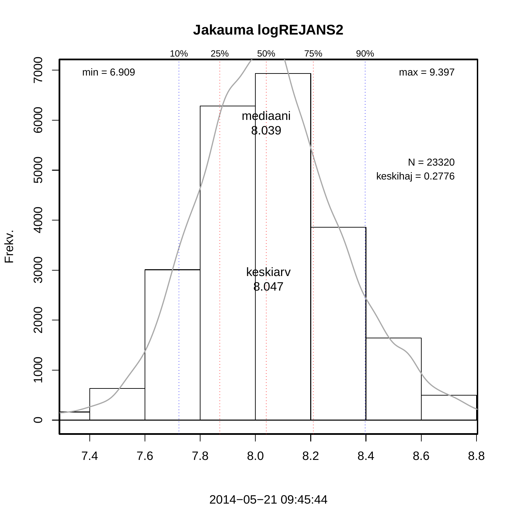## **Jakauma logREJANS2**



2014−05−21 09:45:44

Frekv.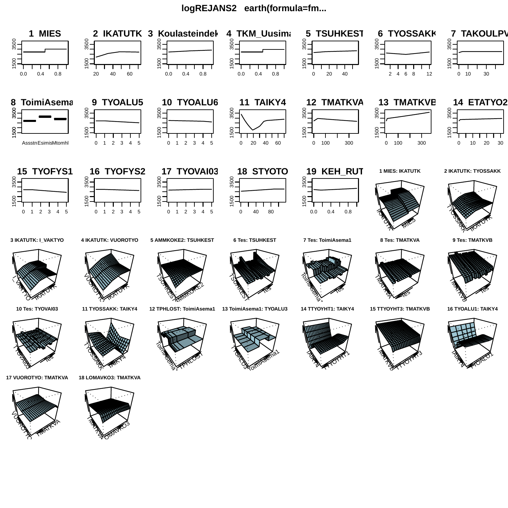## **logREJANS2 earth(formula=fm...**

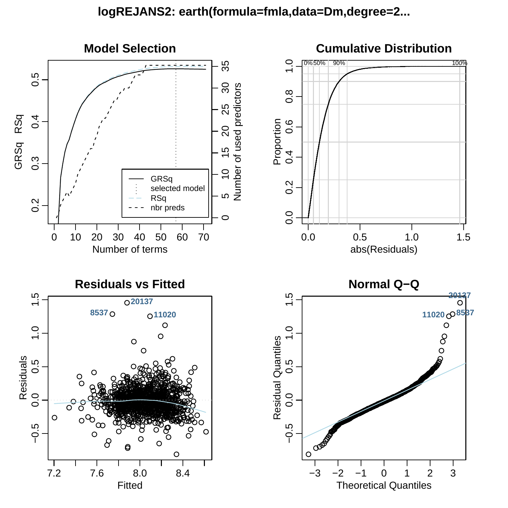logREJANS2: earth(formula=fmla,data=Dm,degree=2...